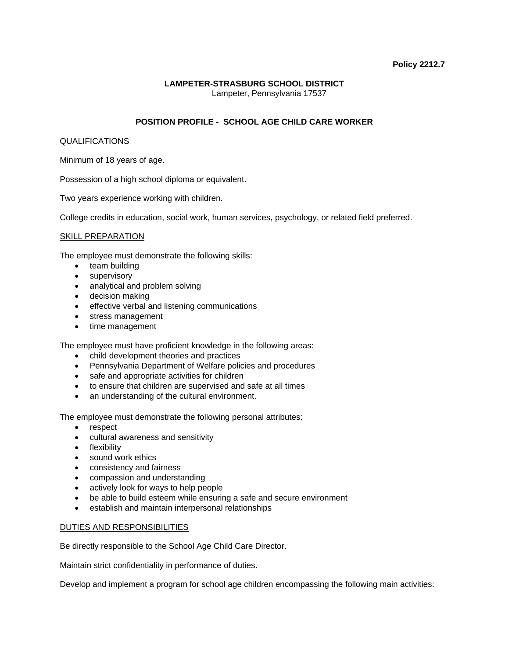### **Policy 2212.7**

## **LAMPETER-STRASBURG SCHOOL DISTRICT**  Lampeter, Pennsylvania 17537

# **POSITION PROFILE - SCHOOL AGE CHILD CARE WORKER**

### QUALIFICATIONS

Minimum of 18 years of age.

Possession of a high school diploma or equivalent.

Two years experience working with children.

College credits in education, social work, human services, psychology, or related field preferred.

### SKILL PREPARATION

The employee must demonstrate the following skills:

- team building
- supervisory
- analytical and problem solving
- decision making
- effective verbal and listening communications
- stress management
- time management

The employee must have proficient knowledge in the following areas:

- child development theories and practices
- Pennsylvania Department of Welfare policies and procedures
- safe and appropriate activities for children
- to ensure that children are supervised and safe at all times
- an understanding of the cultural environment.

The employee must demonstrate the following personal attributes:

- respect
- cultural awareness and sensitivity
- flexibility
- sound work ethics
- consistency and fairness
- compassion and understanding
- actively look for ways to help people
- be able to build esteem while ensuring a safe and secure environment
- establish and maintain interpersonal relationships

### DUTIES AND RESPONSIBILITIES

Be directly responsible to the School Age Child Care Director.

Maintain strict confidentiality in performance of duties.

Develop and implement a program for school age children encompassing the following main activities: